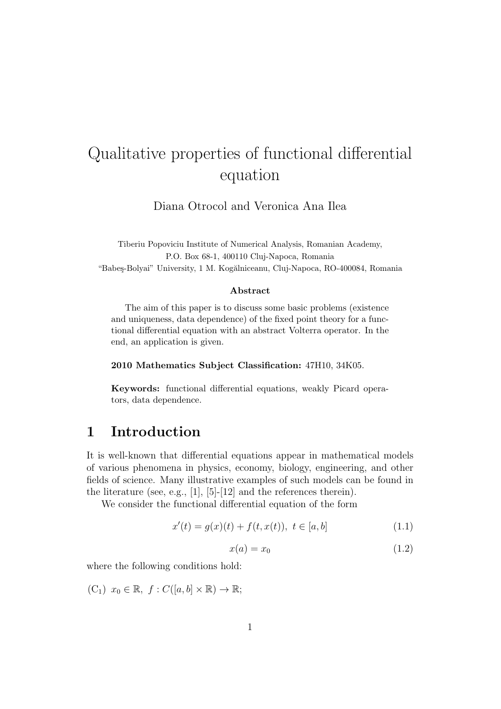# Qualitative properties of functional differential equation

Diana Otrocol and Veronica Ana Ilea

Tiberiu Popoviciu Institute of Numerical Analysis, Romanian Academy, P.O. Box 68-1, 400110 Cluj-Napoca, Romania "Babeş-Bolyai" University, 1 M. Kogălniceanu, Cluj-Napoca, RO-400084, Romania

#### **Abstract**

The aim of this paper is to discuss some basic problems (existence and uniqueness, data dependence) of the fixed point theory for a functional differential equation with an abstract Volterra operator. In the end, an application is given.

**2010 Mathematics Subject Classification:** 47H10, 34K05.

**Keywords:** functional differential equations, weakly Picard operators, data dependence.

### **1 Introduction**

It is well-known that differential equations appear in mathematical models of various phenomena in physics, economy, biology, engineering, and other fields of science. Many illustrative examples of such models can be found in the literature (see, e.g., [1], [5]-[12] and the references therein).

We consider the functional differential equation of the form

$$
x'(t) = g(x)(t) + f(t, x(t)), \ t \in [a, b]
$$
\n(1.1)

$$
x(a) = x_0 \tag{1.2}
$$

where the following conditions hold:

 $(C_1)$   $x_0 \in \mathbb{R}, f: C([a, b] \times \mathbb{R}) \to \mathbb{R};$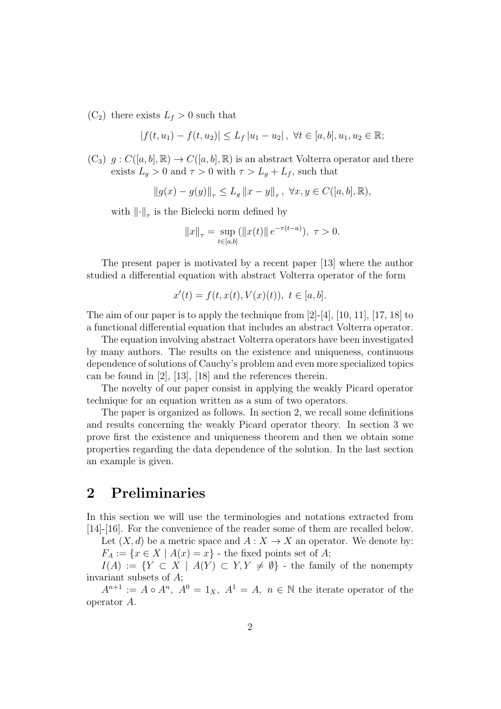$(C_2)$  there exists  $L_f > 0$  such that

$$
|f(t, u_1) - f(t, u_2)| \le L_f |u_1 - u_2|, \ \forall t \in [a, b], u_1, u_2 \in \mathbb{R};
$$

 $(C_3)$   $g: C([a, b], \mathbb{R}) \to C([a, b], \mathbb{R})$  is an abstract Volterra operator and there exists  $L_g > 0$  and  $\tau > 0$  with  $\tau > L_g + L_f$ , such that

 $||g(x) - g(y)||_{\tau} \le L_g ||x - y||_{\tau}, \ \forall x, y \in C([a, b], \mathbb{R}),$ 

with *∥·∥<sup>τ</sup>* is the Bielecki norm defined by

$$
||x||_{\tau} = \sup_{t \in [a,b]} (||x(t)|| e^{-\tau(t-a)}), \ \tau > 0.
$$

The present paper is motivated by a recent paper [13] where the author studied a differential equation with abstract Volterra operator of the form

$$
x'(t) = f(t, x(t), V(x)(t)), t \in [a, b].
$$

The aim of our paper is to apply the technique from  $[2]-[4]$ ,  $[10, 11]$ ,  $[17, 18]$  to a functional differential equation that includes an abstract Volterra operator.

The equation involving abstract Volterra operators have been investigated by many authors. The results on the existence and uniqueness, continuous dependence of solutions of Cauchy's problem and even more specialized topics can be found in [2], [13], [18] and the references therein.

The novelty of our paper consist in applying the weakly Picard operator technique for an equation written as a sum of two operators.

The paper is organized as follows. In section 2, we recall some definitions and results concerning the weakly Picard operator theory. In section 3 we prove first the existence and uniqueness theorem and then we obtain some properties regarding the data dependence of the solution. In the last section an example is given.

# **2 Preliminaries**

In this section we will use the terminologies and notations extracted from [14]-[16]. For the convenience of the reader some of them are recalled below.

Let  $(X, d)$  be a metric space and  $A: X \to X$  an operator. We denote by:  $F_A := \{x \in X \mid A(x) = x\}$  - the fixed points set of *A*;

*I*(*A*) :=  ${Y \subset X \mid A(Y) \subset Y, Y \neq \emptyset}$  - the family of the nonempty invariant subsets of *A*;

 $A^{n+1} := A \circ A^n$ ,  $A^0 = 1_X$ ,  $A^1 = A$ ,  $n \in \mathbb{N}$  the iterate operator of the operator *A*.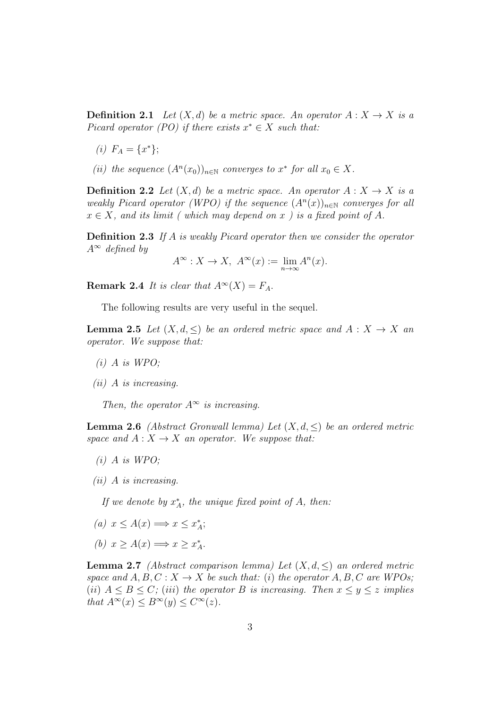**Definition 2.1** *Let*  $(X, d)$  *be a metric space. An operator*  $A: X \rightarrow X$  *is a Picard operator*  $(PO)$  *if there exists*  $x^* \in X$  *such that:* 

- $(i)$   $F_A = \{x^*\};$
- *(ii) the sequence*  $(A^n(x_0))_{n \in \mathbb{N}}$  *converges to*  $x^*$  *for all*  $x_0 \in X$ *.*

**Definition 2.2** *Let*  $(X,d)$  *be a metric space. An operator*  $A: X \to X$  *is a weakly Picard operator (WPO) if the sequence*  $(A<sup>n</sup>(x))_{n\in\mathbb{N}}$  *converges for all*  $x \in X$ *, and its limit ( which may depend on x ) is a fixed point of A.* 

**Definition 2.3** *If A is weakly Picard operator then we consider the operator A<sup>∞</sup> defined by*

$$
A^{\infty}: X \to X, \ A^{\infty}(x) := \lim_{n \to \infty} A^n(x).
$$

**Remark 2.4** *It is clear that*  $A^{\infty}(X) = F_A$ .

The following results are very useful in the sequel.

**Lemma 2.5** *Let*  $(X, d, \leq)$  *be an ordered metric space and*  $A: X \to X$  *an operator. We suppose that:*

- *(i) A is WPO;*
- *(ii) A is increasing.*

*Then, the operator*  $A^\infty$  *is increasing.* 

**Lemma 2.6** *(Abstract Gronwall lemma) Let*  $(X, d, \leq)$  *be an ordered metric space and*  $A: X \to X$  *an operator. We suppose that:* 

- *(i) A is WPO;*
- *(ii) A is increasing.*

*If we denote by*  $x_A^*$ *, the unique fixed point of A, then:* 

- $(a)$   $x \leq A(x) \Longrightarrow x \leq x_A^*;$
- $(b)$   $x \geq A(x) \Longrightarrow x \geq x_A^*$ .

**Lemma 2.7** *(Abstract comparison lemma) Let*  $(X, d, \leq)$  *an ordered metric space and*  $A, B, C: X \rightarrow X$  *be such that:* (*i*) *the operator*  $A, B, C$  *are WPOs;* (*ii*)  $A \leq B \leq C$ ; (*iii*) the operator *B is increasing. Then*  $x \leq y \leq z$  *implies that*  $A^{\infty}(x) \leq B^{\infty}(y) \leq C^{\infty}(z)$ *.*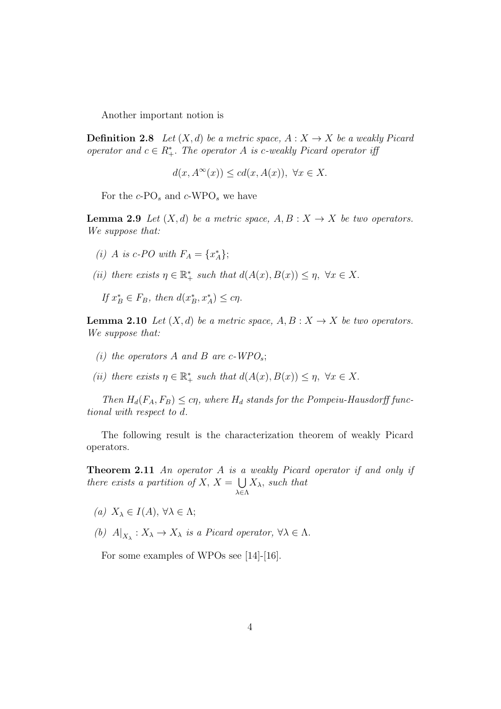Another important notion is

**Definition 2.8** *Let*  $(X, d)$  *be a metric space,*  $A: X \rightarrow X$  *be a weakly Picard operator and*  $c \in R^*_+$ *. The operator A is c-weakly Picard operator iff* 

$$
d(x, A^{\infty}(x)) \leq c d(x, A(x)), \ \forall x \in X.
$$

For the *c*-PO*<sup>s</sup>* and *c*-WPO*<sup>s</sup>* we have

**Lemma 2.9** *Let*  $(X, d)$  *be a metric space,*  $A, B: X \rightarrow X$  *be two operators. We suppose that:*

- *(i) A is c*-*PO* with  $F_A = \{x_A^*\};$
- *(ii) there exists*  $\eta \in \mathbb{R}_+^*$  *such that*  $d(A(x), B(x)) \leq \eta$ ,  $\forall x \in X$ .
	- $If x^*_{B} \in F_B, then d(x^*_{B}, x^*_{A}) \leq c\eta.$

**Lemma 2.10** *Let*  $(X, d)$  *be a metric space,*  $A, B: X \rightarrow X$  *be two operators. We suppose that:*

- *(i) the operators A and B are c*-*WPO*<sup>*s*</sup>;
- *(ii) there exists*  $\eta \in \mathbb{R}_+^*$  *such that*  $d(A(x), B(x)) \leq \eta$ ,  $\forall x \in X$ .

*Then*  $H_d(F_A, F_B) \leq c\eta$ , where  $H_d$  stands for the Pompeiu-Hausdorff func*tional with respect to d.*

The following result is the characterization theorem of weakly Picard operators.

**Theorem 2.11** *An operator A is a weakly Picard operator if and only if there exists a partition of*  $X, X = \bigcup$ *λ∈*Λ *Xλ, such that*

- *(a)*  $X_\lambda$  ∈ *I*(*A*)*,*  $\forall \lambda \in \Lambda$ ;
- *(b)*  $A|_{X_{\lambda}} : X_{\lambda} \to X_{\lambda}$  *is a Picard operator,*  $\forall \lambda \in \Lambda$ .

For some examples of WPOs see [14]-[16].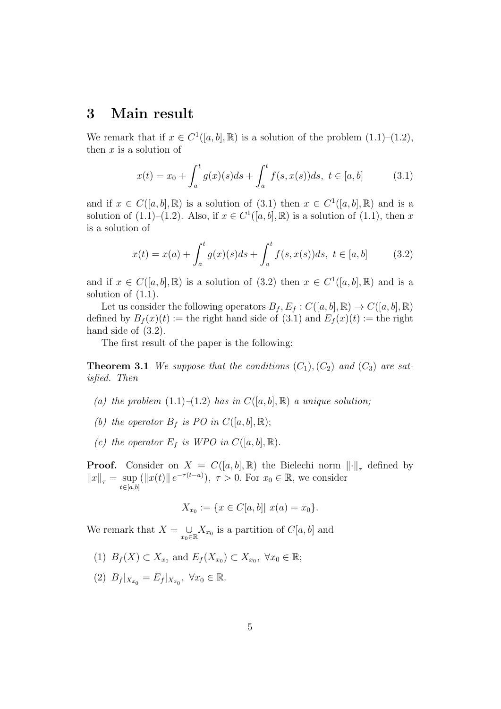### **3 Main result**

We remark that if  $x \in C^1([a, b], \mathbb{R})$  is a solution of the problem  $(1.1)$ – $(1.2)$ , then *x* is a solution of

$$
x(t) = x_0 + \int_a^t g(x)(s)ds + \int_a^t f(s, x(s))ds, \ t \in [a, b]
$$
 (3.1)

and if  $x \in C([a, b], \mathbb{R})$  is a solution of  $(3.1)$  then  $x \in C^1([a, b], \mathbb{R})$  and is a solution of  $(1.1)$ – $(1.2)$ . Also, if  $x \in C^1([a, b], \mathbb{R})$  is a solution of  $(1.1)$ , then *x* is a solution of

$$
x(t) = x(a) + \int_{a}^{t} g(x)(s)ds + \int_{a}^{t} f(s, x(s))ds, \ t \in [a, b]
$$
 (3.2)

and if  $x \in C([a, b], \mathbb{R})$  is a solution of (3.2) then  $x \in C^1([a, b], \mathbb{R})$  and is a solution of  $(1.1)$ .

Let us consider the following operators  $B_f$ ,  $E_f$  :  $C([a, b], \mathbb{R}) \rightarrow C([a, b], \mathbb{R})$ defined by  $B_f(x)(t) :=$  the right hand side of (3.1) and  $E_f(x)(t) :=$  the right hand side of  $(3.2)$ .

The first result of the paper is the following:

**Theorem 3.1** *We suppose that the conditions*  $(C_1)$ *,*  $(C_2)$  *and*  $(C_3)$  *are satisfied. Then*

- (a) the problem  $(1.1)$ – $(1.2)$  has in  $C([a, b], \mathbb{R})$  a unique solution;
- *(b) the operator*  $B_f$  *is PO in*  $C([a, b], \mathbb{R})$ ;
- *(c) the operator*  $E_f$  *is WPO in*  $C([a, b], \mathbb{R})$ *.*

**Proof.** Consider on  $X = C([a, b], \mathbb{R})$  the Bielechi norm  $\|\cdot\|_{\tau}$  defined by  $||x||_{\tau} = \sup$ *t∈*[*a,b*]  $(\Vert x(t) \Vert e^{-\tau(t-a)}), \tau > 0$ . For  $x_0 \in \mathbb{R}$ , we consider

$$
X_{x_0} := \{ x \in C[a, b] | x(a) = x_0 \}.
$$

We remark that  $X = \cup$  $\bigcup_{x_0 \in \mathbb{R}} X_{x_0}$  is a partition of *C*[*a, b*] and

- (1) *B*<sub>*f*</sub>(*X*) ⊂ *X*<sub>*x*0</sub> and *E<sub><i>f*</sub>(*X*<sub>*x*0</sub>) ⊂ *X*<sub>*x*0</sub></sub>,  $\forall$ *x*<sub>0</sub> ∈ ℝ;
- $(B_f | X_{x_0} = E_f | X_{x_0}, \ \forall x_0 \in \mathbb{R}.$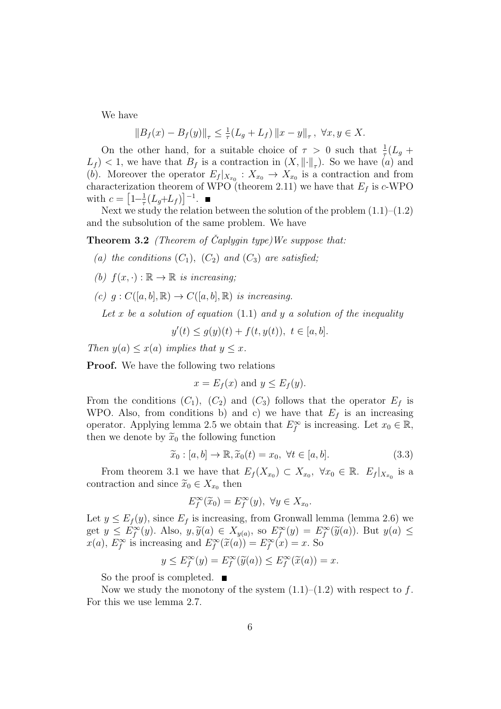We have

$$
||B_f(x) - B_f(y)||_{\tau} \le \frac{1}{\tau} (L_g + L_f) ||x - y||_{\tau}, \ \forall x, y \in X.
$$

On the other hand, for a suitable choice of  $\tau > 0$  such that  $\frac{1}{\tau}(L_g +$  $L_f$   $\leq$  1, we have that  $B_f$  is a contraction in  $(X, \|\cdot\|_{\tau})$ . So we have  $(a)$  and (*b*). Moreover the operator  $E_f|_{X_{x_0}}: X_{x_0} \to X_{x_0}$  is a contraction and from characterization theorem of WPO (theorem 2.11) we have that  $E_f$  is  $c$ -WPO with  $c = \left[1 - \frac{1}{\tau}\right]$  $\frac{1}{\tau} (L_g + L_f)]^{-1}$ .

Next we study the relation between the solution of the problem  $(1.1)$ – $(1.2)$ and the subsolution of the same problem. We have

**Theorem 3.2** *(Theorem of Caplygin type)We suppose that: ˇ*

- (a) the conditions  $(C_1)$ ,  $(C_2)$  and  $(C_3)$  are satisfied;
- *(b)*  $f(x, \cdot) : \mathbb{R} \to \mathbb{R}$  *is increasing*;
- $(c)$   $q: C([a, b], \mathbb{R}) \rightarrow C([a, b], \mathbb{R})$  *is increasing.*

Let  $x$  be a solution of equation (1.1) and  $y$  a solution of the inequality

$$
y'(t) \le g(y)(t) + f(t, y(t)), \ t \in [a, b].
$$

*Then*  $y(a) \leq x(a)$  *implies that*  $y \leq x$ *.* 

**Proof.** We have the following two relations

$$
x = E_f(x)
$$
 and  $y \leq E_f(y)$ .

From the conditions  $(C_1)$ ,  $(C_2)$  and  $(C_3)$  follows that the operator  $E_f$  is WPO. Also, from conditions b) and c) we have that  $E_f$  is an increasing operator. Applying lemma 2.5 we obtain that  $E_f^{\infty}$  is increasing. Let  $x_0 \in \mathbb{R}$ , then we denote by  $\widetilde{x}_0$  the following function

$$
\widetilde{x}_0 : [a, b] \to \mathbb{R}, \widetilde{x}_0(t) = x_0, \ \forall t \in [a, b]. \tag{3.3}
$$

From theorem 3.1 we have that  $E_f(X_{x_0}) \subset X_{x_0}$ ,  $\forall x_0 \in \mathbb{R}$ .  $E_f|_{X_{x_0}}$  is a contraction and since  $\widetilde{x}_0 \in X_{x_0}$  then

$$
E_f^{\infty}(\widetilde{x}_0) = E_f^{\infty}(y), \ \forall y \in X_{x_0}.
$$

Let  $y \leq E_f(y)$ , since  $E_f$  is increasing, from Gronwall lemma (lemma 2.6) we get  $y \le E_f^{\infty}(y)$ . Also,  $y, \tilde{y}(a) \in X_{y(a)}$ , so  $E_f^{\infty}(y) = E_f^{\infty}(\tilde{y}(a))$ . But  $y(a) \le x(a)$ ,  $E_f^{\infty}$  is increasing and  $E_f^{\infty}(\tilde{x}(a)) = E_f^{\infty}(x) = x$ . So

$$
y \le E_f^{\infty}(y) = E_f^{\infty}(\widetilde{y}(a)) \le E_f^{\infty}(\widetilde{x}(a)) = x.
$$

So the proof is completed.

Now we study the monotony of the system  $(1.1)$ – $(1.2)$  with respect to f. For this we use lemma 2.7.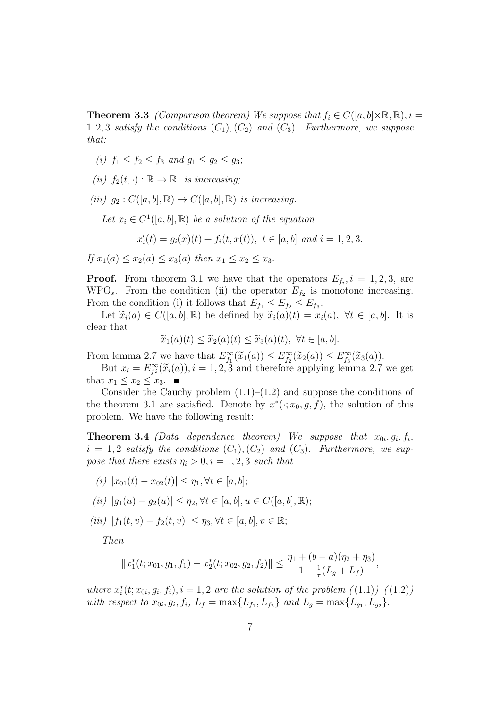**Theorem 3.3** *(Comparison theorem)* We suppose that  $f_i \in C([a, b] \times \mathbb{R}, \mathbb{R}), i =$ 1, 2, 3 *satisfy the conditions*  $(C_1)$ ,  $(C_2)$  *and*  $(C_3)$ *. Furthermore, we suppose that:*

- *(i)*  $f_1$  ≤  $f_2$  ≤  $f_3$  *and*  $g_1$  ≤  $g_2$  ≤  $g_3$ ;
- $(iii)$   $f_2(t, \cdot) : \mathbb{R} \to \mathbb{R}$  *is increasing*;
- $(iii)$   $q_2: C([a, b], \mathbb{R}) \rightarrow C([a, b], \mathbb{R})$  *is increasing.*

Let  $x_i \in C^1([a, b], \mathbb{R})$  *be a solution of the equation* 

$$
x'_{i}(t) = g_{i}(x)(t) + f_{i}(t, x(t)), \ t \in [a, b] \ and \ i = 1, 2, 3.
$$

*If*  $x_1(a) \le x_2(a) \le x_3(a)$  *then*  $x_1 \le x_2 \le x_3$ .

**Proof.** From theorem 3.1 we have that the operators  $E_{f_i}, i = 1, 2, 3$ , are WPO<sub>s</sub>. From the condition (ii) the operator  $E_{f_2}$  is monotone increasing. From the condition (i) it follows that  $E_{f_1} \leq E_{f_2} \leq E_{f_3}$ .

Let  $\tilde{x}_i(a) \in C([a, b], \mathbb{R})$  be defined by  $\tilde{x}_i(a)(t) = x_i(a), \forall t \in [a, b]$ . It is clear that

$$
\widetilde{x}_1(a)(t) \le \widetilde{x}_2(a)(t) \le \widetilde{x}_3(a)(t), \ \forall t \in [a, b].
$$

From lemma 2.7 we have that  $E_{f_1}^{\infty}(\widetilde{x}_1(a)) \leq E_{f_2}^{\infty}(\widetilde{x}_2(a)) \leq E_{f_3}^{\infty}(\widetilde{x}_3(a))$ .

But  $x_i = E_i^{\infty}(\tilde{x}_i(a))$ ,  $i = 1, 2, 3$  and therefore applying lemma 2.7 we get that  $x_1 \leq x_2 \leq x_3$ .

Consider the Cauchy problem  $(1.1)$ – $(1.2)$  and suppose the conditions of the theorem 3.1 are satisfied. Denote by  $x^*(\cdot; x_0, g, f)$ , the solution of this problem. We have the following result:

**Theorem 3.4** *(Data dependence theorem)* We suppose that  $x_{0i}, g_i, f_i$ ,  $i = 1, 2$  *satisfy the conditions*  $(C_1), (C_2)$  *and*  $(C_3)$ *. Furthermore, we suppose that there exists*  $\eta_i > 0, i = 1, 2, 3$  *such that* 

 $f(i)$   $|x_{01}(t) - x_{02}(t)| \leq \eta_1, \forall t \in [a, b];$ 

(*ii*) 
$$
|g_1(u) - g_2(u)| \leq \eta_2, \forall t \in [a, b], u \in C([a, b], \mathbb{R});
$$

*(iii)*  $|f_1(t, v) - f_2(t, v)| \leq \eta_3, \forall t \in [a, b], v \in \mathbb{R};$ 

*Then*

$$
||x_1^*(t; x_{01}, g_1, f_1) - x_2^*(t; x_{02}, g_2, f_2)|| \leq \frac{\eta_1 + (b-a)(\eta_2 + \eta_3)}{1 - \frac{1}{\tau}(L_g + L_f)},
$$

*where*  $x_i^*(t; x_{0i}, g_i, f_i), i = 1, 2$  *are the solution of the problem*  $((1.1))-(1.2)$ with respect to  $x_{0i}, g_i, f_i, L_f = \max\{L_{f_1}, L_{f_2}\}$  and  $L_g = \max\{L_{g_1}, L_{g_2}\}.$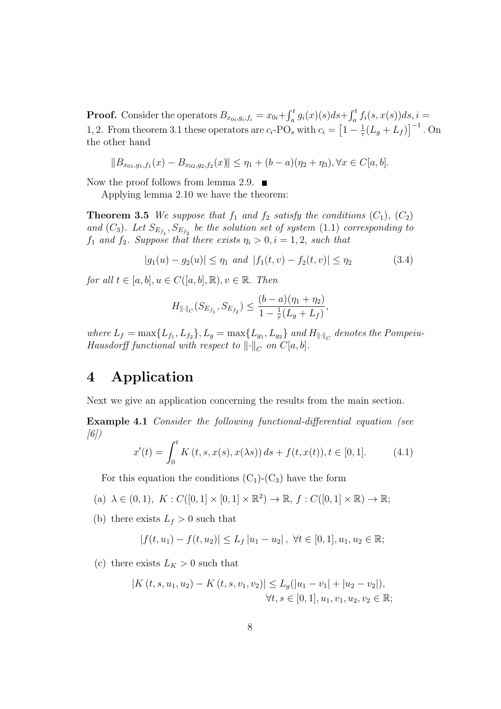**Proof.** Consider the operators  $B_{x_0i,g_i,f_i} = x_{0i} + \int_a^t g_i(x)(s)ds + \int_a^t f_i(s,x(s))ds, i =$ 1, 2. From theorem 3.1 these operators are  $c_i$ -PO<sub>s</sub> with  $c_i = \left[1 - \frac{1}{\tau}\right]$  $\frac{1}{\tau}(L_g + L_f)\right]^{-1}$ . On the other hand

$$
||B_{x_{01},g_1,f_1}(x) - B_{x_{02},g_2,f_2}(x)|| \leq \eta_1 + (b-a)(\eta_2 + \eta_3), \forall x \in C[a,b].
$$

Now the proof follows from lemma 2.9.  $\blacksquare$ 

Applying lemma 2.10 we have the theorem:

**Theorem 3.5** *We suppose that*  $f_1$  *and*  $f_2$  *satisfy the conditions*  $(C_1)$ *,*  $(C_2)$ *and*  $(C_3)$ *. Let*  $S_{E_{f_1}}$ ,  $S_{E_{f_2}}$  *be the solution set of system* (1.1) *corresponding to f*<sub>1</sub> *and f*<sub>2</sub>*. Suppose that there exists*  $\eta_i > 0, i = 1, 2$ *, such that* 

$$
|g_1(u) - g_2(u)| \le \eta_1 \text{ and } |f_1(t, v) - f_2(t, v)| \le \eta_2 \tag{3.4}
$$

*for all*  $t \in [a, b], u \in C([a, b], \mathbb{R}), v \in \mathbb{R}$ *. Then* 

$$
H_{\|\cdot\|_C}(S_{E_{f_1}}, S_{E_{f_2}}) \leq \frac{(b-a)(\eta_1 + \eta_2)}{1 - \frac{1}{\tau}(L_g + L_f)},
$$

where  $L_f = \max\{L_{f_1}, L_{f_2}\}, L_g = \max\{L_{g_1}, L_{g_2}\}$  and  $H_{\|\cdot\|_C}$  denotes the Pompeiu-*Hausdorff functional with respect to*  $|| \cdot ||_C$  *on*  $C[a, b]$ *.* 

# **4 Application**

Next we give an application concerning the results from the main section.

**Example 4.1** *Consider the following functional-differential equation (see [6])*

$$
x'(t) = \int_0^t K(t, s, x(s), x(\lambda s)) ds + f(t, x(t)), t \in [0, 1].
$$
 (4.1)

For this equation the conditions  $(C_1)$ - $(C_3)$  have the form

 $(a) \lambda \in (0,1), K : C([0,1] \times [0,1] \times \mathbb{R}^2) \to \mathbb{R}, f : C([0,1] \times \mathbb{R}) \to \mathbb{R};$ 

(b) there exists  $L_f > 0$  such that

$$
|f(t, u_1) - f(t, u_2)| \le L_f |u_1 - u_2|, \ \forall t \in [0, 1], u_1, u_2 \in \mathbb{R};
$$

(c) there exists  $L_K > 0$  such that

$$
|K(t, s, u_1, u_2) - K(t, s, v_1, v_2)| \le L_g(|u_1 - v_1| + |u_2 - v_2|),
$$
  

$$
\forall t, s \in [0, 1], u_1, v_1, u_2, v_2 \in \mathbb{R};
$$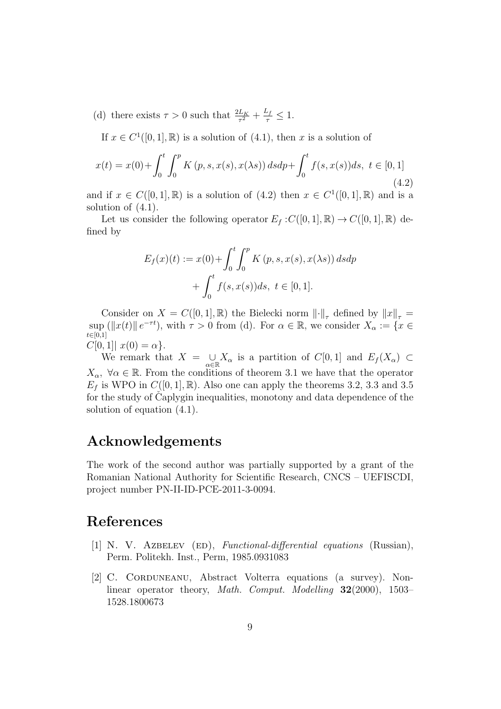(d) there exists  $\tau > 0$  such that  $\frac{2L_K}{\tau^2} + \frac{L_f}{\tau} \leq 1$ .

If  $x \in C^1([0,1], \mathbb{R})$  is a solution of  $(4.1)$ , then *x* is a solution of

$$
x(t) = x(0) + \int_0^t \int_0^p K(p, s, x(s), x(\lambda s)) ds dp + \int_0^t f(s, x(s)) ds, \ t \in [0, 1]
$$
\n(4.2)

and if  $x \in C([0,1], \mathbb{R})$  is a solution of  $(4.2)$  then  $x \in C^1([0,1], \mathbb{R})$  and is a solution of (4.1).

Let us consider the following operator  $E_f$ :  $C([0, 1], \mathbb{R}) \to C([0, 1], \mathbb{R})$  defined by

$$
E_f(x)(t) := x(0) + \int_0^t \int_0^p K(p, s, x(s), x(\lambda s)) ds dp + \int_0^t f(s, x(s)) ds, t \in [0, 1].
$$

Consider on  $X = C([0,1], \mathbb{R})$  the Bielecki norm  $\lVert \cdot \rVert_{\tau}$  defined by  $\lVert x \rVert_{\tau} =$  $\sup$  ( $||x(t)||e^{-\tau t}$ ), with  $\tau > 0$  from (d). For  $\alpha \in \mathbb{R}$ , we consider  $X_{\alpha} := \{x \in \mathbb{R}^d : |f(x)| \leq \alpha \}$ *t∈*[0*,*1]  $C[0, 1] | x(0) = \alpha$ .

We remark that  $X = \cup$ *α∈*R *X*<sup>*α*</sup> is a partition of *C*[0*,* 1] and  $E_f(X_\alpha) \subset$  $X_{\alpha}$ ,  $\forall \alpha \in \mathbb{R}$ . From the conditions of theorem 3.1 we have that the operator  $E_f$  is WPO in  $C([0,1], \mathbb{R})$ . Also one can apply the theorems 3.2, 3.3 and 3.5 for the study of Caplygin inequalities, monotony and data dependence of the solution of equation (4.1).

# **Acknowledgements**

The work of the second author was partially supported by a grant of the Romanian National Authority for Scientific Research, CNCS – UEFISCDI, project number PN-II-ID-PCE-2011-3-0094.

# **References**

- [1] N. V. Azbelev (ed), *Functional-differential equations* (Russian), Perm. Politekh. Inst., Perm, 1985.0931083
- [2] C. CORDUNEANU, Abstract Volterra equations (a survey). Nonlinear operator theory, *Math. Comput. Modelling* **32**(2000), 1503– 1528.1800673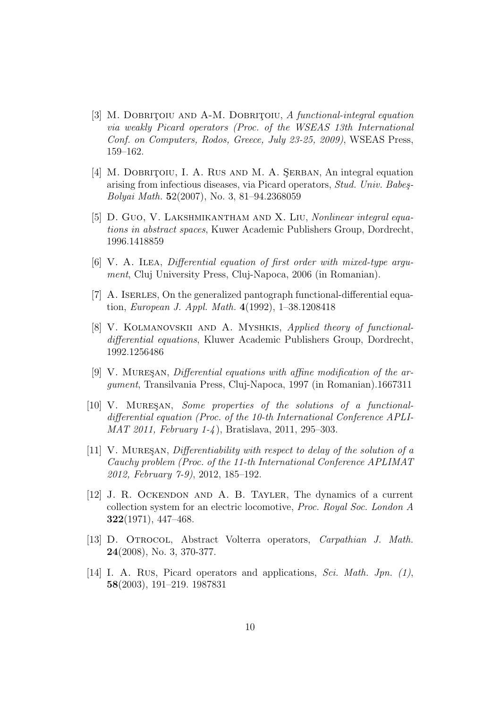- [3] M. DOBRITOIU AND A-M. DOBRITOIU, *A functional-integral equation via weakly Picard operators (Proc. of the WSEAS 13th International Conf. on Computers, Rodos, Greece, July 23-25, 2009)*, WSEAS Press, 159–162.
- [4] M. DOBRITOIU, I. A. RUS AND M. A. SERBAN, An integral equation arising from infectious diseases, via Picard operators, *Stud. Univ. Babe¸s-Bolyai Math.* **5**2(2007), No. 3, 81–94.2368059
- [5] D. Guo, V. Lakshmikantham and X. Liu, *Nonlinear integral equations in abstract spaces*, Kuwer Academic Publishers Group, Dordrecht, 1996.1418859
- [6] V. A. Ilea, *Differential equation of first order with mixed-type argument*, Cluj University Press, Cluj-Napoca, 2006 (in Romanian).
- [7] A. ISERLES, On the generalized pantograph functional-differential equation, *European J. Appl. Math.* **4**(1992), 1–38.1208418
- [8] V. Kolmanovskii and A. Myshkis, *Applied theory of functionaldifferential equations*, Kluwer Academic Publishers Group, Dordrecht, 1992.1256486
- [9] V. MURESAN, *Differential equations with affine modification of the argument*, Transilvania Press, Cluj-Napoca, 1997 (in Romanian).1667311
- [10] V. MURESAN, *Some properties of the solutions of a functionaldifferential equation (Proc. of the 10-th International Conference APLI-MAT 2011, February 1-4* ), Bratislava, 2011, 295–303.
- [11] V. Mures¸an, *Differentiability with respect to delay of the solution of a Cauchy problem (Proc. of the 11-th International Conference APLIMAT 2012, February 7-9)*, 2012, 185–192.
- [12] J. R. Ockendon and A. B. Tayler, The dynamics of a current collection system for an electric locomotive, *Proc. Royal Soc. London A* **322**(1971), 447–468.
- [13] D. Otrocol, Abstract Volterra operators, *Carpathian J. Math.* **24**(2008), No. 3, 370-377.
- [14] I. A. Rus, Picard operators and applications, *Sci. Math. Jpn. (1)*, **58**(2003), 191–219. 1987831